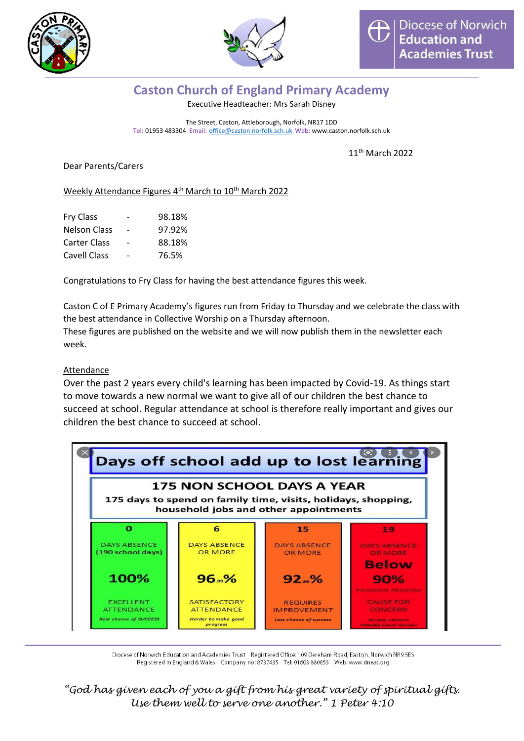



## **Caston Church of England Primary Academy**

Executive Headteacher: Mrs Sarah Disney

The Street, Caston, Attleborough, Norfolk, NR17 1DD Tel: 01953 483304 Email: [office@caston.norfolk.sch.uk](mailto:office@caston.norfolk.sch.uk) Web: www.caston.norfolk.sch.uk

11<sup>th</sup> March 2022

Dear Parents/Carers

Weekly Attendance Figures  $4<sup>th</sup>$  March to  $10<sup>th</sup>$  March 2022

| Fry Class           | 98.18% |
|---------------------|--------|
| <b>Nelson Class</b> | 97.92% |
| <b>Carter Class</b> | 88.18% |
| Cavell Class        | 76.5%  |

Congratulations to Fry Class for having the best attendance figures this week.

Caston C of E Primary Academy's figures run from Friday to Thursday and we celebrate the class with the best attendance in Collective Worship on a Thursday afternoon.

These figures are published on the website and we will now publish them in the newsletter each week.

#### Attendance

Over the past 2 years every child's learning has been impacted by Covid-19. As things start to move towards a new normal we want to give all of our children the best chance to succeed at school. Regular attendance at school is therefore really important and gives our children the best chance to succeed at school.



Diocese of Norwich Education and Academies Trust Registered Office: 109 Dereham Road, Easton, Norwich NR9 5ES Registered in England & Wales Company no: 8737435 Tel: 01603 880853 Web: www.dneat.org

*"God has given each of you a gift from his great variety of spiritual gifts. Use them well to serve one another." 1 Peter 4:10*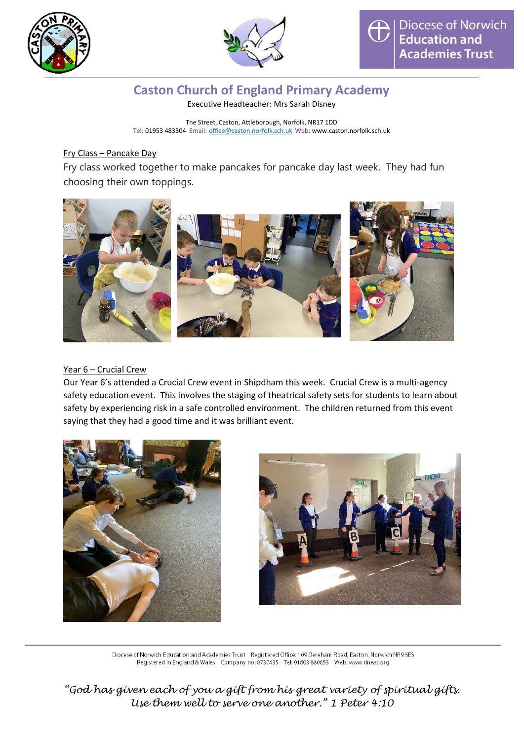



# **Caston Church of England Primary Academy**

Executive Headteacher: Mrs Sarah Disney

The Street, Caston, Attleborough, Norfolk, NR17 1DD Tel: 01953 483304 Email: [office@caston.norfolk.sch.uk](mailto:office@caston.norfolk.sch.uk) Web: www.caston.norfolk.sch.uk

### Fry Class – Pancake Day

Fry class worked together to make pancakes for pancake day last week. They had fun choosing their own toppings.



#### Year 6 – Crucial Crew

Our Year 6's attended a Crucial Crew event in Shipdham this week. Crucial Crew is a multi-agency safety education event. This involves the staging of theatrical safety sets for students to learn about safety by experiencing risk in a safe controlled environment. The children returned from this event saying that they had a good time and it was brilliant event.





Diocese of Norwich Education and Academies Trust Registered Office: 109 Dereham Road, Easton, Norwich NR9 5ES Registered in England & Wales Company no: 8737435 Tel: 01603 880853 Web: www.dneat.org

*"God has given each of you a gift from his great variety of spiritual gifts. Use them well to serve one another." 1 Peter 4:10*